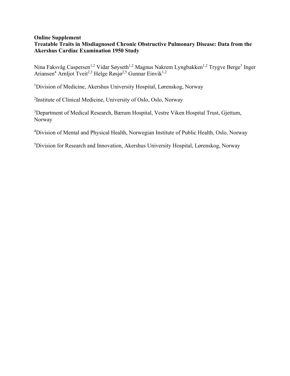## **Online Supplement Treatable Traits in Misdiagnosed Chronic Obstructive Pulmonary Disease: Data from the Akershus Cardiac Examination 1950 Study**

Nina Faksvåg Caspersen<sup>1,2</sup> Vidar Søyseth<sup>1,2</sup> Magnus Nakrem Lyngbakken<sup>1,2</sup> Trygve Berge<sup>3</sup> Inger Ariansen<sup>4</sup> Arnljot Tveit<sup>2,3</sup> Helge Røsjø<sup>2,5</sup> Gunnar Einvik<sup>1,2</sup>

<sup>1</sup>Division of Medicine, Akershus University Hospital, Lørenskog, Norway

<sup>2</sup>Institute of Clinical Medicine, University of Oslo, Oslo, Norway

<sup>3</sup>Department of Medical Research, Bærum Hospital, Vestre Viken Hospital Trust, Gjettum, Norway

<sup>4</sup>Division of Mental and Physical Health, Norwegian Institute of Public Health, Oslo, Norway

5 Division for Research and Innovation, Akershus University Hospital, Lørenskog, Norway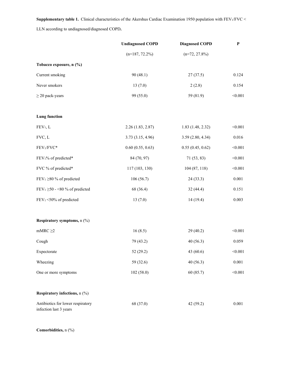**Supplementary table 1.** Clinical characteristics of the Akershus Cardiac Examination 1950 population with FEV1/FVC <

LLN according to undiagnosed/diagnosed COPD**.**

|                                                             | <b>Undiagnosed COPD</b> | <b>Diagnosed COPD</b> | $\mathbf P$ |
|-------------------------------------------------------------|-------------------------|-----------------------|-------------|
|                                                             | $(n=187, 72.2\%)$       | $(n=72, 27.8\%)$      |             |
| Tobacco exposure, n (%)                                     |                         |                       |             |
| Current smoking                                             | 90(48.1)                | 27(37.5)              | 0.124       |
| Never smokers                                               | 13(7.0)                 | 2(2.8)                | 0.154       |
| $\geq$ 20 pack-years                                        | 99 (55.0)               | 59 (81.9)             | < 0.001     |
| <b>Lung function</b>                                        |                         |                       |             |
| FEV <sub>1</sub> , L                                        | 2.26(1.83, 2.87)        | 1.83(1.48, 2.32)      | < 0.001     |
| FVC, L                                                      | 3.73(3.15, 4.96)        | 3.59(2.80, 4.34)      | 0.016       |
| $FEV1/FVC*$                                                 | 0.60(0.55, 0.63)        | 0.55(0.45, 0.62)      | < 0.001     |
| FEV1% of predicted*                                         | 84 (70, 97)             | 71(53, 83)            | < 0.001     |
| FVC % of predicted*                                         | 117 (103, 130)          | 104 (87, 118)         | < 0.001     |
| $FEV_1 \geq 80 \%$ of predicted                             | 106(56.7)               | 24(33.3)              | 0.001       |
| $FEV_1 \ge 50 - 80 \%$ of predicted                         | 68 (36.4)               | 32(44.4)              | 0.151       |
| FEV <sub>1</sub> <50% of predicted                          | 13(7.0)                 | 14(19.4)              | 0.003       |
| Respiratory symptoms, n (%)                                 |                         |                       |             |
| $mMRC \geq 2$                                               | 16(8.5)                 | 29(40.2)              | < 0.001     |
| Cough                                                       | 79 (43.2)               | 40(56.3)              | 0.059       |
| Expectorate                                                 | 52(29.2)                | 43 (60.6)             | < 0.001     |
| Wheezing                                                    | 59 (32.6)               | 40(56.3)              | 0.001       |
| One or more symptoms                                        | 102(58.0)               | 60(85.7)              | < 0.001     |
| Respiratory infections, n (%)                               |                         |                       |             |
| Antibiotics for lower respiratory<br>infection last 3 years | 68 (37.0)               | 42 (59.2)             | 0.001       |

**Comorbidities,** n (%)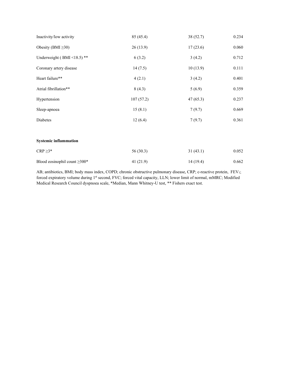| Inactivity/low activity             | 85 (45.4) | 38 (52.7) | 0.234 |
|-------------------------------------|-----------|-----------|-------|
| Obesity (BMI $\geq$ 30)             | 26(13.9)  | 17(23.6)  | 0.060 |
| Underweight (BMI <18.5) **          | 6(3.2)    | 3(4.2)    | 0.712 |
| Coronary artery disease             | 14(7.5)   | 10(13.9)  | 0.111 |
| Heart failure**                     | 4(2.1)    | 3(4.2)    | 0.401 |
| Atrial fibrillation**               | 8(4.3)    | 5(6.9)    | 0.359 |
| Hypertension                        | 107(57.2) | 47(65.3)  | 0.237 |
| Sleep-apnoea                        | 15(8.1)   | 7(9.7)    | 0.669 |
| Diabetes                            | 12(6.4)   | 7(9.7)    | 0.361 |
| <b>Systemic inflammation</b>        |           |           |       |
| $CRP \geq 3*$                       | 56(30.3)  | 31(43.1)  | 0.052 |
| Blood eosinophil count $\geq 300^*$ | 41 (21.9) | 14 (19.4) | 0.662 |

AB; antibiotics, BMI; body mass index, COPD; chronic obstructive pulmonary disease, CRP; c-reactive protein, FEV1; forced expiratory volume during 1st second, FVC; forced vital capacity, LLN; lower limit of normal, mMRC; Modified Medical Research Council dyspnoea scale, \*Median, Mann Whitney-U test, \*\* Fishers exact test.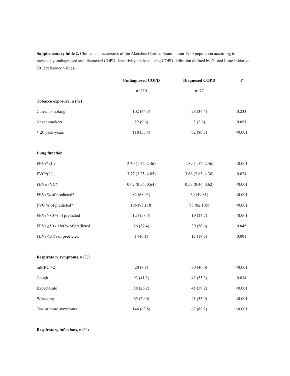**Supplementary table 2.** Clinical characteristics of the Akershus Cardiac Examination 1950 population according to previously undiagnosed and diagnosed COPD. Sensitivity analysis using COPD-definition defined by Global Lung Initiative 2012 reference values**.**

| <b>Diagnosed COPD</b> | P       |
|-----------------------|---------|
| $n = 77$              |         |
|                       |         |
| 28 (36.4)             | 0.233   |
| 2(2.6)                | 0.051   |
| 62(80.5)              | < 0.001 |
|                       |         |
|                       |         |
| 1.89(1.52, 2.46)      | < 0.001 |
| 3.66(2.83, 4.38)      | 0.024   |
| 0.57(0.46, 0.62)      | < 0.001 |
| 69 (49,81)            | < 0.001 |
| 93 (82,105)           | < 0.001 |
| 19(24.7)              | < 0.001 |
| 39(50.6)              | 0.045   |
| 15(19.5)              | 0.001   |
|                       |         |
|                       |         |
| 30(40.0)              | < 0.001 |
| 42(55.3)              | 0.034   |
| 45(59.2)              | < 0.001 |
| 41 (53.9)             | < 0.001 |
| 67(88.2)              | < 0.001 |
|                       |         |

**Respiratory infections,** n (%)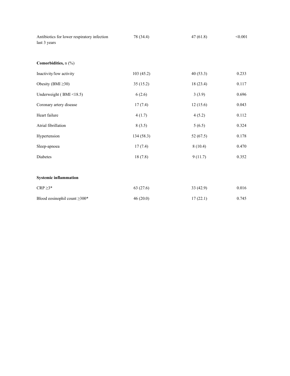| Antibiotics for lower respiratory infection<br>last 3 years | 78 (34.4)  | 47(61.8)    | < 0.001 |
|-------------------------------------------------------------|------------|-------------|---------|
| Comorbidities, n (%)                                        |            |             |         |
| Inactivity/low activity                                     | 103(45.2)  | 40(53.3)    | 0.233   |
| Obesity (BMI $\geq$ 30)                                     | 35(15.2)   | 18(23.4)    | 0.117   |
| Underweight (BMI <18.5)                                     | 6(2.6)     | 3(3.9)      | 0.696   |
| Coronary artery disease                                     | 17(7.4)    | 12(15.6)    | 0.043   |
| Heart failure                                               | 4(1.7)     | 4(5.2)      | 0.112   |
| Atrial fibrillation                                         | 8(3.5)     | 5(6.5)      | 0.324   |
| Hypertension                                                | 134 (58.3) | 52 $(67.5)$ | 0.178   |
| Sleep-apnoea                                                | 17(7.4)    | 8(10.4)     | 0.470   |
| Diabetes                                                    | 18(7.8)    | 9(11.7)     | 0.352   |
|                                                             |            |             |         |
| <b>Systemic inflammation</b>                                |            |             |         |
| $CRP \geq 3*$                                               | 63 (27.6)  | 33 (42.9)   | 0.016   |
| Blood eosinophil count $\geq 300*$                          | 46(20.0)   | 17(22.1)    | 0.745   |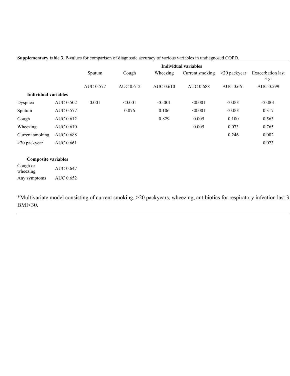|                            |                  | <b>Individual variables</b> |           |                  |                  |                |                                            |
|----------------------------|------------------|-----------------------------|-----------|------------------|------------------|----------------|--------------------------------------------|
|                            |                  | Sputum                      | Cough     | Wheezing         | Current smoking  | $>20$ packyear | <b>Exacerbation</b> last<br>$3 \text{ yr}$ |
|                            |                  | AUC 0.577                   | AUC 0.612 | <b>AUC 0.610</b> | <b>AUC 0.688</b> | AUC 0.661      | AUC 0.599                                  |
| Individual variables       |                  |                             |           |                  |                  |                |                                            |
| Dyspnea                    | AUC 0.502        | 0.001                       | < 0.001   | < 0.001          | < 0.001          | < 0.001        | < 0.001                                    |
| Sputum                     | AUC 0.577        |                             | 0.076     | 0.106            | < 0.001          | < 0.001        | 0.317                                      |
| Cough                      | AUC 0.612        |                             |           | 0.829            | 0.005            | 0.100          | 0.563                                      |
| Wheezing                   | AUC 0.610        |                             |           |                  | 0.005            | 0.073          | 0.765                                      |
| Current smoking            | <b>AUC 0.688</b> |                             |           |                  |                  | 0.246          | 0.002                                      |
| >20 packyear               | AUC 0.661        |                             |           |                  |                  |                | 0.023                                      |
| <b>Composite variables</b> |                  |                             |           |                  |                  |                |                                            |
| Cough or<br>wheezing       | AUC 0.647        |                             |           |                  |                  |                |                                            |

**Supplementary table 3.** P-values for comparison of diagnostic accuracy of various variables in undiagnosed COPD.

Any symptoms AUC 0.652

\*Multivariate model consisting of current smoking, >20 packyears, wheezing, antibiotics for respiratory infection last 3 BMI<30.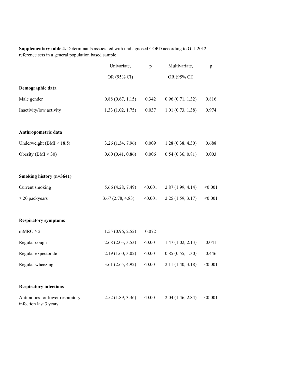**Supplementary table 4.** Determinants associated with undiagnosed COPD according to GLI 2012 reference sets in a general population based sample

|                                                             | Univariate,       | p       | Multivariate,    | $\mathbf{p}$ |
|-------------------------------------------------------------|-------------------|---------|------------------|--------------|
|                                                             | OR (95% CI)       |         | OR (95% CI)      |              |
| Demographic data                                            |                   |         |                  |              |
| Male gender                                                 | 0.88(0.67, 1.15)  | 0.342   | 0.96(0.71, 1.32) | 0.816        |
| Inactivity/low activity                                     | 1.33(1.02, 1.75)  | 0.037   | 1.01(0.73, 1.38) | 0.974        |
| Anthropometric data                                         |                   |         |                  |              |
| Underweight (BMI < $18.5$ )                                 | 3.26(1.34, 7.96)  | 0.009   | 1.28(0.38, 4.30) | 0.688        |
| Obesity (BMI $\geq$ 30)                                     | 0.60(0.41, 0.86)  | 0.006   | 0.54(0.36, 0.81) | 0.003        |
| Smoking history (n=3641)                                    |                   |         |                  |              |
| Current smoking                                             | 5.66 (4.28, 7.49) | < 0.001 | 2.87(1.99, 4.14) | < 0.001      |
| $\geq$ 20 packyears                                         | 3.67(2.78, 4.83)  | < 0.001 | 2.25(1.59, 3.17) | < 0.001      |
| <b>Respiratory symptoms</b>                                 |                   |         |                  |              |
| $mMRC \geq 2$                                               | 1.55(0.96, 2.52)  | 0.072   |                  |              |
| Regular cough                                               | 2.68(2.03, 3.53)  | < 0.001 | 1.47(1.02, 2.13) | 0.041        |
| Regular expectorate                                         | 2.19(1.60, 3.02)  | < 0.001 | 0.85(0.55, 1.30) | 0.446        |
| Regular wheezing                                            | 3.61(2.65, 4.92)  | < 0.001 | 2.11(1.40, 3.18) | < 0.001      |
| <b>Respiratory infections</b>                               |                   |         |                  |              |
| Antibiotics for lower respiratory<br>infection last 3 years | 2.52(1.89, 3.36)  | < 0.001 | 2.04(1.46, 2.84) | < 0.001      |